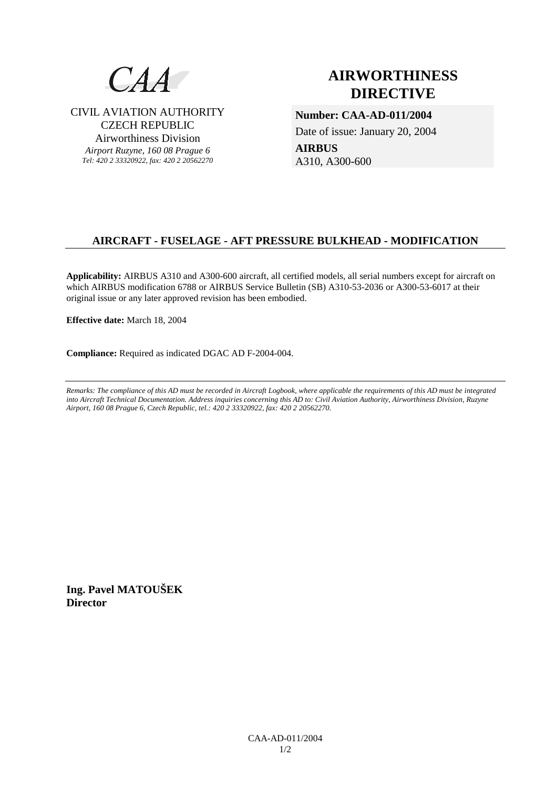

CIVIL AVIATION AUTHORITY CZECH REPUBLIC Airworthiness Division *Airport Ruzyne, 160 08 Prague 6 Tel: 420 2 33320922, fax: 420 2 20562270*

# **AIRWORTHINESS DIRECTIVE**

**Number: CAA-AD-011/2004** 

Date of issue: January 20, 2004

**AIRBUS**  A310, A300-600

## **AIRCRAFT - FUSELAGE - AFT PRESSURE BULKHEAD - MODIFICATION**

**Applicability:** AIRBUS A310 and A300-600 aircraft, all certified models, all serial numbers except for aircraft on which AIRBUS modification 6788 or AIRBUS Service Bulletin (SB) A310-53-2036 or A300-53-6017 at their original issue or any later approved revision has been embodied.

**Effective date:** March 18, 2004

**Compliance:** Required as indicated DGAC AD F-2004-004.

*Remarks: The compliance of this AD must be recorded in Aircraft Logbook, where applicable the requirements of this AD must be integrated into Aircraft Technical Documentation. Address inquiries concerning this AD to: Civil Aviation Authority, Airworthiness Division, Ruzyne Airport, 160 08 Prague 6, Czech Republic, tel.: 420 2 33320922, fax: 420 2 20562270.* 

**Ing. Pavel MATOUŠEK Director**